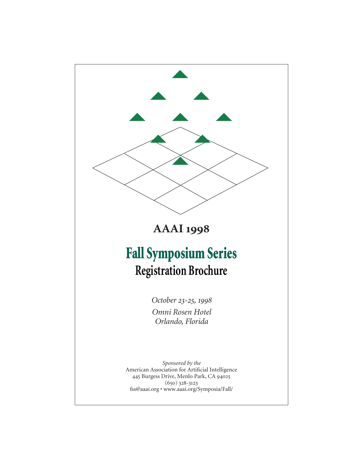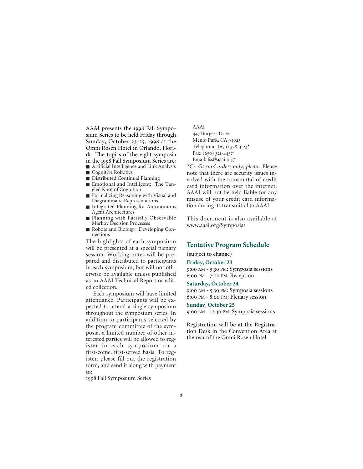AAAI presents the 1998 Fall Symposium Series to be held Friday through Sunday, October 23-25, 1998 at the Omni Rosen Hotel in Orlando, Florida. The topics of the eight symposia in the 1998 Fall Symposium Series are:

- Artificial Intelligence and Link Analysis
- Cognitive Robotics
- Distributed Continual Planning
- Emotional and Intelligent: The Tangled Knot of Cognition
- Formalizing Reasoning with Visual and Diagrammatic Representations
- Integrated Planning for Autonomous Agent Architectures
- Planning with Partially Observable Markov Decision Processes
- Robots and Biology: Developing Connections

The highlights of each symposium will be presented at a special plenary session. Working notes will be prepared and distributed to participants in each symposium, but will not otherwise be available unless published as an AAAI Technical Report or edited collection.

Each symposium will have limited attendance. Participants will be expected to attend a single symposium throughout the symposium series. In addition to participants selected by the program committee of the symposia, a limited number of other interested parties will be allowed to register in each symposium on a first-come, first-served basis. To register, please fill out the registration form, and send it along with payment to:

1998 Fall Symposium Series

AAAI 445 Burgess Drive Menlo Park, CA Telephone:  $(650)$  328-3123<sup>\*</sup> Fax:  $(650)$  321-4457<sup>\*</sup>

Email: fss@aaai.org\*

*\*Credit card orders only, please.* Please note that there are security issues involved with the transmittal of credit card information over the internet. AAAI will not be held liable for any misuse of your credit card information during its transmittal to AAAI.

This document is also available at www.aaai.org/Symposia/

#### **Tentative Program Schedule**

(subject to change)

#### **Friday, October 23**

9:00 AM - 5:30 PM: Symposia sessions 6:00 PM - 7:00 PM: Reception

#### **Saturday, October 24**

9:00 AM - 5:30 PM: Symposia sessions 6:00 PM - 8:00 PM: Plenary session

#### **Sunday, October 25**

9:00 AM - 12:30 PM: Symposia sessions

Registration will be at the Registration Desk in the Convention Area at the rear of the Omni Rosen Hotel.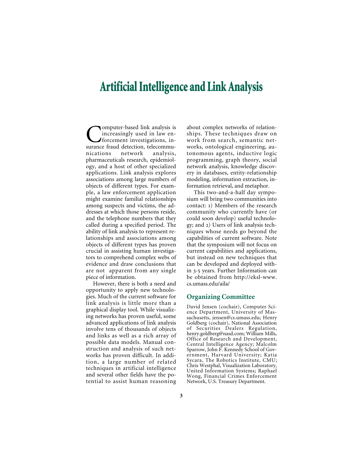### **Artificial Intelligence and Link Analysis**

omputer-based link analysis is increasingly used in law enforcement investigations, insurance fraud detection, telecommunications network analysis, nications pharmaceuticals research, epidemiology, and a host of other specialized applications. Link analysis explores associations among large numbers of objects of different types. For example, a law enforcement application might examine familial relationships among suspects and victims, the addresses at which those persons reside, and the telephone numbers that they called during a specified period. The ability of link analysis to represent relationships and associations among objects of different types has proven crucial in assisting human investigators to comprehend complex webs of evidence and draw conclusions that are not apparent from any single piece of information.

However, there is both a need and opportunity to apply new technologies. Much of the current software for link analysis is little more than a graphical display tool. While visualizing networks has proven useful, some advanced applications of link analysis involve tens of thousands of objects and links as well as a rich array of possible data models. Manual construction and analysis of such networks has proven difficult. In addition, a large number of related techniques in artificial intelligence and several other fields have the potential to assist human reasoning

about complex networks of relationships. These techniques draw on work from search, semantic networks, ontological engineering, autonomous agents, inductive logic programming, graph theory, social network analysis, knowledge discovery in databases, entity-relationship modeling, information extraction, information retrieval, and metaphor.

This two-and-a-half day symposium will bring two communities into contact: ) Members of the research community who currently have (or could soon develop) useful technology; and 2) Users of link analysis techniques whose needs go beyond the capabilities of current software. Note that the symposium will not focus on current capabilities and applications, but instead on new techniques that can be developed and deployed within 3-5 years. Further Information can be obtained from http://eksl-www. cs.umass.edu/aila/

#### **Organizing Committee**

David Jensen (cochair), Computer Science Department, University of Massachusetts, jensen@cs.umass.edu; Henry Goldberg (cochair), National Association of Securities Dealers Regulation, henry.goldberg@nasd.com; William Mills, Office of Research and Development, Central Intelligence Agency; Malcolm Sparrow, John F. Kennedy School of Government, Harvard University; Katia Sycara, The Robotics Institute, CMU; Chris Westphal, Visualization Laboratory, United Information Systems; Raphael Wong, Financial Crimes Enforcement Network, U.S. Treasury Department.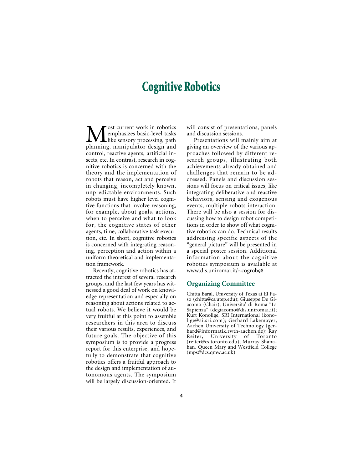### **Cognitive Robotics**

**M** ost current work in robotics<br>like sensory processing, path<br>planning, manipulator design and emphasizes basic-level tasks like sensory processing, path planning, manipulator design and control, reactive agents, artificial insects, etc. In contrast, research in cognitive robotics is concerned with the theory and the implementation of robots that reason, act and perceive in changing, incompletely known, unpredictable environments. Such robots must have higher level cognitive functions that involve reasoning, for example, about goals, actions, when to perceive and what to look for, the cognitive states of other agents, time, collaborative task execution, etc. In short, cognitive robotics is concerned with integrating reasoning, perception and action within a uniform theoretical and implementation framework.

Recently, cognitive robotics has attracted the interest of several research groups, and the last few years has witnessed a good deal of work on knowledge representation and especially on reasoning about actions related to actual robots. We believe it would be very fruitful at this point to assemble researchers in this area to discuss their various results, experiences, and future goals. The objective of this symposium is to provide a progress report for this enterprise, and hopefully to demonstrate that cognitive robotics offers a fruitful approach to the design and implementation of autonomous agents. The symposium will be largely discussion-oriented. It will consist of presentations, panels and discussion sessions.

Presentations will mainly aim at giving an overview of the various approaches followed by different research groups, illustrating both achievements already obtained and challenges that remain to be addressed. Panels and discussion sessions will focus on critical issues, like integrating deliberative and reactive behaviors, sensing and exogenous events, multiple robots interaction. There will be also a session for discussing how to design robot competitions in order to show off what cognitive robotics can do. Technical results addressing specific aspects of the "general picture" will be presented in a special poster session. Additional information about the cognitive robotics symposium is available at www.dis.uniroma1.it/~cogrob98

#### **Organizing Committee**

Chitta Baral, University of Texas at El Paso (chitta@cs.utep.edu); Giuseppe De Giacomo (Chair), Universita' di Roma "La Sapienza" (degiacomo@dis.uniroma.it); Kurt Konolige, SRI International (konolige@ai.sri.com); Gerhard Lakemayer, Aachen University of Technology (gerhard@informatik.rwth-aachen.de); Ray Reiter, University of Toronto (reiter@cs.toronto.edu); Murray Shanahan, Queen Mary and Westfield College (mps@dcs.qmw.ac.uk)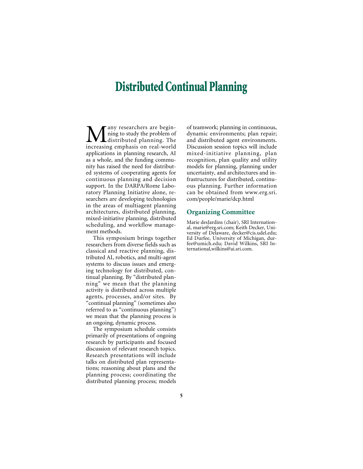### **Distributed Continual Planning**

**M** any researchers are begin-<br>distributed planning. The<br>increasing emphasis on real-world ning to study the problem of distributed planning. The increasing emphasis on real-world applications in planning research, AI as a whole, and the funding community has raised the need for distributed systems of cooperating agents for continuous planning and decision support. In the DARPA/Rome Laboratory Planning Initiative alone, researchers are developing technologies in the areas of multiagent planning architectures, distributed planning, mixed-initiative planning, distributed scheduling, and workflow management methods.

This symposium brings together researchers from diverse fields such as classical and reactive planning, distributed AI, robotics, and multi-agent systems to discuss issues and emerging technology for distributed, continual planning. By "distributed planning" we mean that the planning activity is distributed across multiple agents, processes, and/or sites. By "continual planning" (sometimes also referred to as "continuous planning") we mean that the planning process is an ongoing, dynamic process.

The symposium schedule consists primarily of presentations of ongoing research by participants and focused discussion of relevant research topics. Research presentations will include talks on distributed plan representations; reasoning about plans and the planning process; coordinating the distributed planning process; models of teamwork; planning in continuous, dynamic environments; plan repair; and distributed agent environments. Discussion session topics will include mixed-initiative planning, plan recognition, plan quality and utility models for planning, planning under uncertainty, and architectures and infrastructures for distributed, continuous planning. Further information can be obtained from www.erg.sri. com/people/marie/dcp.html

#### **Organizing Committee**

Marie desJardins (chair), SRI International, marie@erg.sri.com; Keith Decker, University of Delaware, decker@cis.udel.edu; Ed Durfee, University of Michigan, durfee@umich.edu; David Wilkins, SRI International,wilkins@ai.sri.com.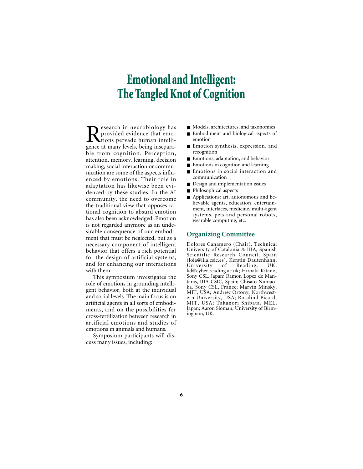# **Emotional and Intelligent: The Tangled Knot of Cognition**

Research in neurobiology has<br>provided evidence that emo-<br>provided human intelli-<br>gence at many levels, being insenaraprovided evidence that emotions pervade human intelligence at many levels, being inseparable from cognition. Perception, attention, memory, learning, decision making, social interaction or communication are some of the aspects influenced by emotions. Their role in adaptation has likewise been evidenced by these studies. In the AI community, the need to overcome the traditional view that opposes rational cognition to absurd emotion has also been acknowledged. Emotion is not regarded anymore as an undesirable consequence of our embodiment that must be neglected, but as a necessary component of intelligent behavior that offers a rich potential for the design of artificial systems, and for enhancing our interactions with them.

This symposium investigates the role of emotions in grounding intelligent behavior, both at the individual and social levels. The main focus is on artificial agents in all sorts of embodiments, and on the possibilities for cross-fertilization between research in artificial emotions and studies of emotions in animals and humans.

Symposium participants will discuss many issues, including:

- Models, architectures, and taxonomies
- Embodiment and biological aspects of emotion
- Emotion synthesis, expression, and recognition
- Emotions, adaptation, and behavior
- Emotions in cognition and learning
- Emotions in social interaction and communication
- Design and implementation issues
- Philosophical aspects
- Applications: art, autonomous and believable agents, education, entertainment, interfaces, medicine, multi-agent systems, pets and personal robots, wearable computing, etc.

#### **Organizing Committee**

Dolores Canamero (Chair), Technical University of Catalonia & IIIA, Spanish Scientific Research Council, Spain (lola@iiia.csic.es), Kerstin Dautenhahn, University of Reading, UK, kd@cyber.reading.ac.uk; Hiroaki Kitano, Sony CSL, Japan; Ramon Lopez de Mantaras, IIIA-CSIC, Spain; Chisato Numaoka, Sony CSL, France; Marvin Minsky, MIT, USA; Andrew Ortony, Northwestern University, USA; Rosalind Picard, MIT, USA; Takanori Shibata, MEL, Japan; Aaron Sloman, University of Birmingham, UK.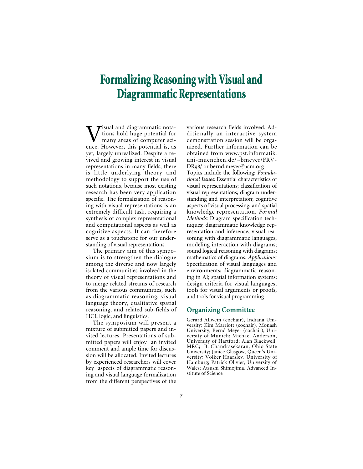# **Formalizing Reasoning with Visual and Diagrammatic Representations**

**V**isual and diagrammatic nota-<br>many areas of computer sci-<br>ence However, this notential is, as tions hold huge potential for many areas of computer science. However, this potential is, as yet, largely unrealized. Despite a revived and growing interest in visual representations in many fields, there is little underlying theory and methodology to support the use of such notations, because most existing research has been very application specific. The formalization of reasoning with visual representations is an extremely difficult task, requiring a synthesis of complex representational and computational aspects as well as cognitive aspects. It can therefore serve as a touchstone for our understanding of visual representations.

The primary aim of this symposium is to strengthen the dialogue among the diverse and now largely isolated communities involved in the theory of visual representations and to merge related streams of research from the various communities, such as diagrammatic reasoning, visual language theory, qualitative spatial reasoning, and related sub-fields of HCI, logic, and linguistics.

The symposium will present a mixture of submitted papers and invited lectures. Presentations of submitted papers will enjoy an invited comment and ample time for discussion will be allocated. Invited lectures by experienced researchers will cover key aspects of diagrammatic reasoning and visual language formalization from the different perspectives of the

various research fields involved. Additionally an interactive system demonstration session will be organized. Further information can be obtained from www.pst.informatik. uni-muenchen.de/~bmeyer/FRV-DR98/ or bernd.meyer@acm.org

Topics include the following: *Foundational Issues:* Essential characteristics of visual representations; classification of visual representations; diagram understanding and interpretation; cognitive aspects of visual processing; and spatial knowledge representation. *Formal Methods:* Diagram specification techniques; diagrammatic knowledge representation and inference; visual reasoning with diagrammatic languages; modeling interaction with diagrams; sound logical reasoning with diagrams; mathematics of diagrams. *Applications:* Specification of visual languages and environments; diagrammatic reasoning in AI; spatial information systems; design criteria for visual languages; tools for visual arguments or proofs; and tools for visual programming

#### **Organizing Committee**

Gerard Allwein (cochair), Indiana University; Kim Marriott (cochair), Monash University; Bernd Meyer (cochair), University of Munich; Michael Anderson, University of Hartford; Alan Blackwell, MRC; B. Chandrasekaran, Ohio State University; Janice Glasgow, Queen's University; Volker Haarslev, University of Hamburg; Patrick Olivier, University of Wales; Atsushi Shimojima, Advanced Institute of Science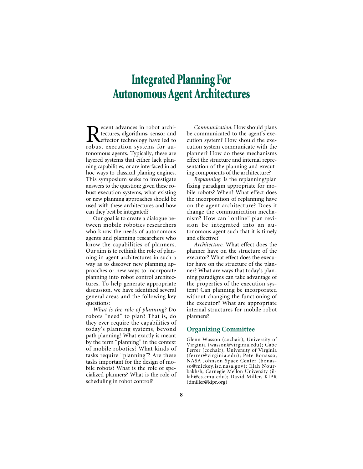### **Integrated Planning For Autonomous Agent Architectures**

**Recent advances in robot archi-**<br>**effector technology have led to**<br>robust execution systems for autectures, algorithms, sensor and robust execution systems for autonomous agents. Typically, these are layered systems that either lack planning capabilities, or are interfaced in ad hoc ways to classical planing engines. This symposium seeks to investigate answers to the question: given these robust execution systems, what existing or new planning approaches should be used with these architectures and how can they best be integrated?

Our goal is to create a dialogue between mobile robotics researchers who know the needs of autonomous agents and planning researchers who know the capabilities of planners. Our aim is to rethink the role of planning in agent architectures in such a way as to discover new planning approaches or new ways to incorporate planning into robot control architectures. To help generate appropriate discussion, we have identified several general areas and the following key questions:

*What is the role of planning?* Do robots "need" to plan? That is, do they ever require the capabilities of today's planning systems, beyond path planning? What exactly is meant by the term "planning" in the context of mobile robotics? What kinds of tasks require "planning"? Are these tasks important for the design of mobile robots? What is the role of specialized planners? What is the role of scheduling in robot control?

*Communication.* How should plans be communicated to the agent's execution system? How should the execution system communicate with the planner? How do these mechanisms effect the structure and internal representation of the planning and executing components of the architecture?

*Replanning.* Is the replanning/plan fixing paradigm appropriate for mobile robots? When? What effect does the incorporation of replanning have on the agent architecture? Does it change the communication mechanism? How can "online" plan revision be integrated into an autonomous agent such that it is timely and effective?

*Architecture.* What effect does the planner have on the structure of the executor? What effect does the executor have on the structure of the planner? What are ways that today's planning paradigms can take advantage of the properties of the execution system? Can planning be incorporated without changing the functioning of the executor? What are appropriate internal structures for mobile robot planners?

#### **Organizing Committee**

Glenn Wasson (cochair), University of Virginia (wasson@virginia.edu); Gabe Ferrer (cochair), University of Virginia (ferrer@virginia.edu); Pete Bonasso, NASA Johnson Space Center (bonasso@mickey.jsc.nasa.gov); Illah Nourbakhsh, Carnegie Mellon University (illah@cs.cmu.edu); David Miller, KIPR (dmiller@kipr.org)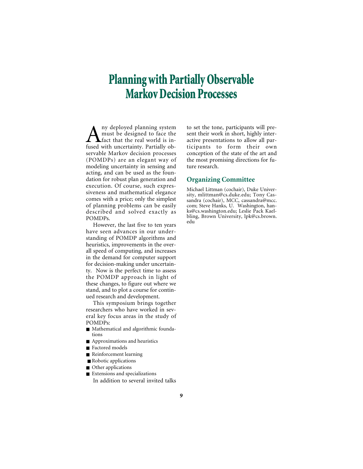## **Planning with Partially Observable Markov Decision Processes**

 $\mathbf{A}$  ny deployed planning system<br>must be designed to face the<br>fused with uncertainty Partially obmust be designed to face the **L**fact that the real world is infused with uncertainty. Partially observable Markov decision processes (POMDPs) are an elegant way of modeling uncertainty in sensing and acting, and can be used as the foundation for robust plan generation and execution. Of course, such expressiveness and mathematical elegance comes with a price; only the simplest of planning problems can be easily described and solved exactly as POMDPs.

However, the last five to ten years have seen advances in our understanding of POMDP algorithms and heuristics, improvements in the overall speed of computing, and increases in the demand for computer support for decision-making under uncertainty. Now is the perfect time to assess the POMDP approach in light of these changes, to figure out where we stand, and to plot a course for continued research and development.

This symposium brings together researchers who have worked in several key focus areas in the study of POMDPs:

- Mathematical and algorithmic foundations
- Approximations and heuristics
- Factored models
- Reinforcement learning
- Robotic applications
- Other applications
- Extensions and specializations In addition to several invited talks

to set the tone, participants will present their work in short, highly interactive presentations to allow all participants to form their own conception of the state of the art and the most promising directions for future research.

#### **Organizing Committee**

Michael Littman (cochair), Duke University, mlittman@cs.duke.edu; Tony Cassandra (cochair), MCC, cassandra@mcc. com; Steve Hanks, U. Washington, hanks@cs.washington.edu; Leslie Pack Kaelbling, Brown University, lpk@cs.brown. edu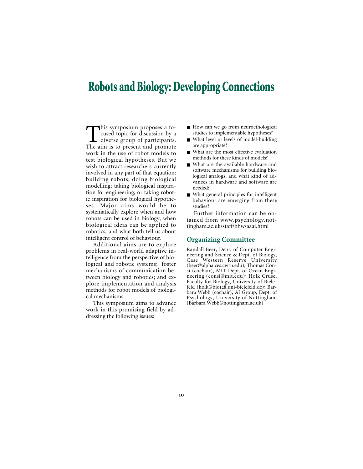### **Robots and Biology: Developing Connections**

This symposium proposes a fo-<br>cused topic for discussion by a<br>diverse group of participants.<br>The aim is to present and promote cused topic for discussion by a The aim is to present and promote work in the use of robot models to test biological hypotheses. But we wish to attract researchers currently involved in any part of that equation: building robots; doing biological modelling; taking biological inspiration for engineering; or taking robotic inspiration for biological hypotheses. Major aims would be to systematically explore when and how robots can be used in biology, when biological ideas can be applied to robotics, and what both tell us about intelligent control of behaviour.

Additional aims are to explore problems in real-world adaptive intelligence from the perspective of biological and robotic systems; foster mechanisms of communication between biology and robotics; and explore implementation and analysis methods for robot models of biological mechanisms

This symposium aims to advance work in this promising field by addressing the following issues:

- How can we go from neuroethological studies to implementable hypotheses?
- What level or levels of model-building are appropriate?
- What are the most effective evaluation methods for these kinds of models?
- What are the available hardware and software mechanisms for building biological analogs, and what kind of advances in hardware and software are needed?
- What general principles for intelligent behaviour are emerging from these studies?

Further information can be obtained from www.psychology.nottingham.ac.uk/staff/bhw/aaai.html

#### **Organizing Committee**

Randall Beer, Dept. of Computer Engineering and Science & Dept. of Biology, Case Western Reserve University (beer@alpha.ces.cwru.edu); Thomas Consi (cochair), MIT Dept. of Ocean Engineering (consi@mit.edu); Holk Cruse, Faculty for Biology, University of Bielefeld (holk@bio128.uni-bielefeld.de); Barbara Webb (cochair), AI Group, Dept. of Psychology, University of Nottingham (Barbara.Webb@nottingham.ac.uk)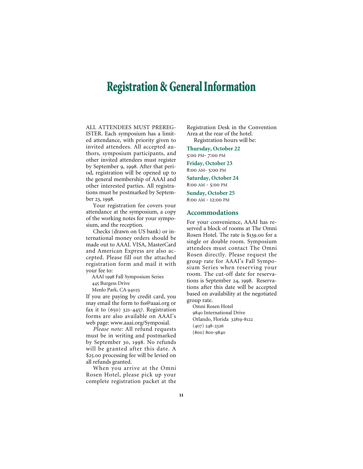### **Registration & General Information**

ALL ATTENDEES MUST PREREG-ISTER. Each symposium has a limited attendance, with priority given to invited attendees. All accepted authors, symposium participants, and other invited attendees must register by September 9, 1998. After that period, registration will be opened up to the general membership of AAAI and other interested parties. All registrations must be postmarked by September 23, 1998.

Your registration fee covers your attendance at the symposium, a copy of the working notes for your symposium, and the reception.

Checks (drawn on US bank) or international money orders should be made out to AAAI. VISA, MasterCard and American Express are also accepted. Please fill out the attached registration form and mail it with your fee to:

AAAI 1998 Fall Symposium Series

445 Burgess Drive

Menlo Park, CA

If you are paying by credit card, you may email the form to fss@aaai.org or fax it to  $(650)$  321-4457. Registration forms are also available on AAAI's web page: www.aaai.org/Symposial.

*Please note:* All refund requests must be in writing and postmarked by September 30, 1998. No refunds will be granted after this date. A \$25.00 processing fee will be levied on all refunds granted.

When you arrive at the Omni Rosen Hotel, please pick up your complete registration packet at the Registration Desk in the Convention Area at the rear of the hotel.

Registration hours will be:

#### **Thursday, October 22** 5:00 PM-7:00 PM

**Friday, October 23**

8:00 AM- 5:00 PM **Saturday, October 24** 8:00 AM - 5:00 PM

**Sunday, October 25** 8:00 AM - 12:00 PM

#### **Accommodations**

For your convenience, AAAI has reserved a block of rooms at The Omni Rosen Hotel. The rate is \$139.00 for a single or double room. Symposium attendees must contact The Omni Rosen directly. Please request the group rate for AAAI's Fall Symposium Series when reserving your room. The cut-off date for reservations is September 24, 1998. Reservations after this date will be accepted based on availability at the negotiated group rate.

Omni Rosen Hotel 9840 International Drive Orlando, Florida 32819-8122  $(407)$  248-2326  $(800) 800 - 9840$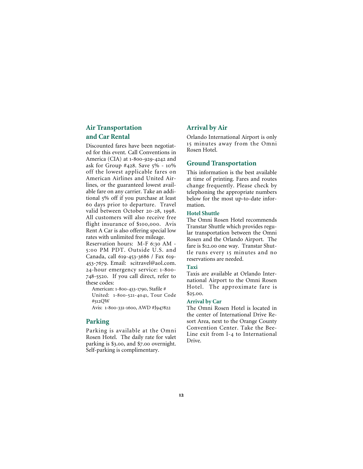### **Air Transportation and Car Rental**

Discounted fares have been negotiated for this event. Call Conventions in America (CIA) at  $1-800-929-4242$  and ask for Group #428. Save  $5\%$  -  $10\%$ off the lowest applicable fares on American Airlines and United Airlines, or the guaranteed lowest available fare on any carrier. Take an additional 5% off if you purchase at least 60 days prior to departure. Travel valid between October 20-28, 1998. All customers will also receive free flight insurance of \$100,000. Avis Rent A Car is also offering special low rates with unlimited free mileage.

Reservation hours: M-F 6:30 AM -5:00 PM PDT. Outside U.S. and Canada, call 619-453-3686 / Fax 619-453-7679. Email: scitravel@aol.com. 24-hour emergency service: 1-800-748-5520. If you call direct, refer to these codes:

American: 1-800-433-1790, Stafile # United: 1-800-521-4041, Tour Code  $#512$  OW

Avis: 1-800-331-1600, AWD #J947822

#### **Parking**

Parking is available at the Omni Rosen Hotel. The daily rate for valet parking is \$3.00, and \$7.00 overnight. Self-parking is complimentary.

#### **Arrival by Air**

Orlando International Airport is only 15 minutes away from the Omni Rosen Hotel.

#### **Ground Transportation**

This information is the best available at time of printing. Fares and routes change frequently. Please check by telephoning the appropriate numbers below for the most up-to-date information.

#### **Hotel Shuttle**

The Omni Rosen Hotel recommends Transtar Shuttle which provides regular transportation between the Omni Rosen and the Orlando Airport. The fare is \$12.00 one way. Transtar Shuttle runs every 15 minutes and no reservations are needed.

#### **Taxi**

Taxis are available at Orlando International Airport to the Omni Rosen Hotel. The approximate fare is  $$25.00.$ 

#### **Arrival by Car**

The Omni Rosen Hotel is located in the center of International Drive Resort Area, next to the Orange County Convention Center. Take the Bee-Line exit from I-4 to International Drive.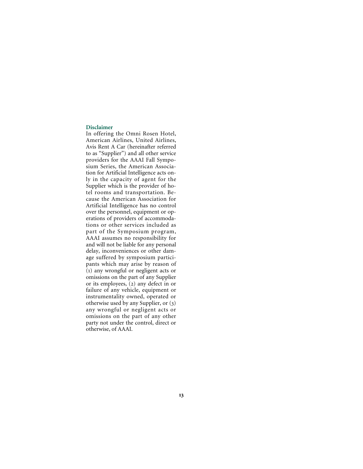#### **Disclaimer**

In offering the Omni Rosen Hotel, American Airlines, United Airlines, Avis Rent A Car (hereinafter referred to as "Supplier") and all other service providers for the AAAI Fall Symposium Series, the American Association for Artificial Intelligence acts only in the capacity of agent for the Supplier which is the provider of hotel rooms and transportation. Because the American Association for Artificial Intelligence has no control over the personnel, equipment or operations of providers of accommodations or other services included as part of the Symposium program, AAAI assumes no responsibility for and will not be liable for any personal delay, inconveniences or other damage suffered by symposium participants which may arise by reason of  $(i)$  any wrongful or negligent acts or omissions on the part of any Supplier or its employees,  $(2)$  any defect in or failure of any vehicle, equipment or instrumentality owned, operated or otherwise used by any Supplier, or (3) any wrongful or negligent acts or omissions on the part of any other party not under the control, direct or otherwise, of AAAI.